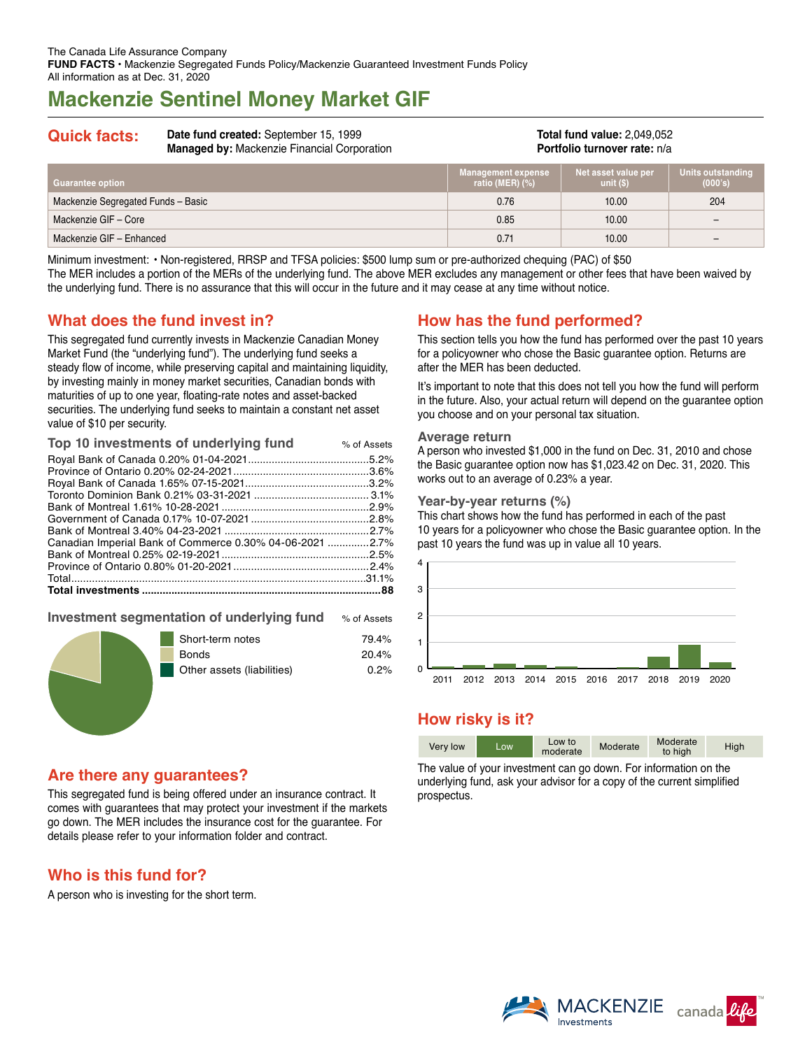# **Mackenzie Sentinel Money Market GIF**

#### **Quick facts: Date fund created:** September 15, 1999 **Managed by:** Mackenzie Financial Corporation

#### **Total fund value:** 2,049,052 **Portfolio turnover rate:** n/a

| Guarantee option                   | <b>Management expense</b><br>ratio (MER) $(\%)$ | , Net asset value per<br>unit $(S)$ | Units outstanding<br>(000's) |
|------------------------------------|-------------------------------------------------|-------------------------------------|------------------------------|
| Mackenzie Segregated Funds - Basic | 0.76                                            | 10.00                               | 204                          |
| Mackenzie GIF - Core               | 0.85                                            | 10.00                               | $\overline{\phantom{0}}$     |
| Mackenzie GIF - Enhanced           | 0.71                                            | 10.00                               | $\overline{\phantom{0}}$     |

Minimum investment: • Non-registered, RRSP and TFSA policies: \$500 lump sum or pre-authorized chequing (PAC) of \$50 The MER includes a portion of the MERs of the underlying fund. The above MER excludes any management or other fees that have been waived by the underlying fund. There is no assurance that this will occur in the future and it may cease at any time without notice.

## **What does the fund invest in?**

This segregated fund currently invests in Mackenzie Canadian Money Market Fund (the "underlying fund"). The underlying fund seeks a steady flow of income, while preserving capital and maintaining liquidity, by investing mainly in money market securities, Canadian bonds with maturities of up to one year, floating-rate notes and asset-backed securities. The underlying fund seeks to maintain a constant net asset value of \$10 per security.

| Canadian Imperial Bank of Commerce 0.30% 04-06-2021 2.7% |  |
|----------------------------------------------------------|--|
|                                                          |  |
|                                                          |  |
|                                                          |  |
|                                                          |  |

#### **Investment segmentation of underlying fund** % of Assets

| 79.4%                              |  |
|------------------------------------|--|
| 20.4%                              |  |
| Other assets (liabilities)<br>0.2% |  |
|                                    |  |

## **Are there any guarantees?**

This segregated fund is being offered under an insurance contract. It comes with guarantees that may protect your investment if the markets go down. The MER includes the insurance cost for the guarantee. For details please refer to your information folder and contract.

## **Who is this fund for?**

A person who is investing for the short term.

## **How has the fund performed?**

This section tells you how the fund has performed over the past 10 years for a policyowner who chose the Basic guarantee option. Returns are after the MER has been deducted.

It's important to note that this does not tell you how the fund will perform in the future. Also, your actual return will depend on the guarantee option you choose and on your personal tax situation.

#### **Average return**

A person who invested \$1,000 in the fund on Dec. 31, 2010 and chose the Basic guarantee option now has \$1,023.42 on Dec. 31, 2020. This works out to an average of 0.23% a year.

#### **Year-by-year returns (%)**

This chart shows how the fund has performed in each of the past 10 years for a policyowner who chose the Basic guarantee option. In the past 10 years the fund was up in value all 10 years.



## **How risky is it?**

| Very low | LOW. | Low to<br>moderate | Moderate | Moderate<br>to high | High |
|----------|------|--------------------|----------|---------------------|------|

The value of your investment can go down. For information on the underlying fund, ask your advisor for a copy of the current simplified prospectus.